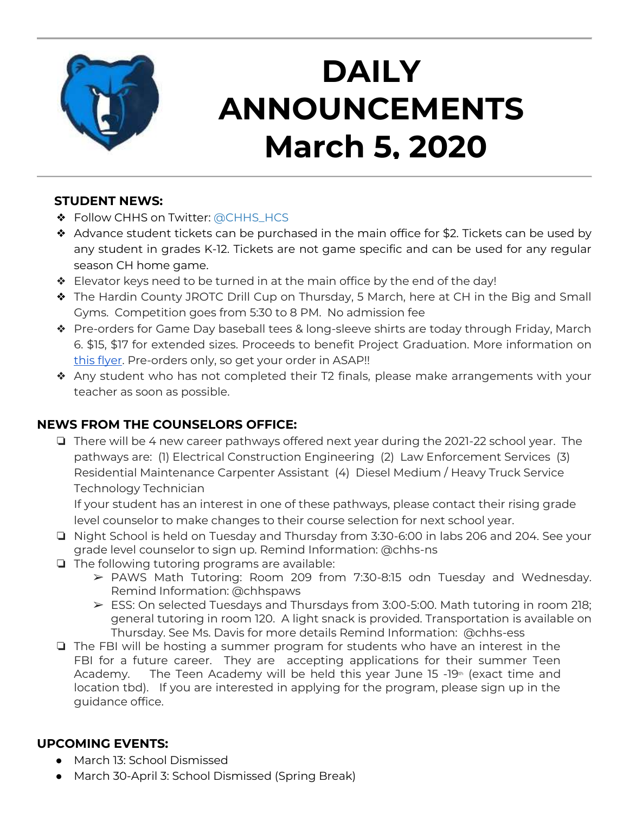

## **DAILY ANNOUNCEMENTS March 5, 2020**

#### **STUDENT NEWS:**

- ❖ Follow CHHS on Twitter: [@CHHS\\_HCS](https://twitter.com/CHHS_HCS)
- ❖ Advance student tickets can be purchased in the main office for \$2. Tickets can be used by any student in grades K-12. Tickets are not game specific and can be used for any regular season CH home game.
- ❖ Elevator keys need to be turned in at the main office by the end of the day!
- ❖ The Hardin County JROTC Drill Cup on Thursday, 5 March, here at CH in the Big and Small Gyms. Competition goes from 5:30 to 8 PM. No admission fee
- ❖ Pre-orders for Game Day baseball tees & long-sleeve shirts are today through Friday, March 6. \$15, \$17 for extended sizes. Proceeds to benefit Project Graduation. More information on [this flyer.](https://docs.google.com/document/d/1TYikQWSl-159HW2fqa2rBfN3XxtHYr1f7SyOB9_OtCA/edit?usp=sharing) Pre-orders only, so get your order in ASAP!!
- ❖ Any student who has not completed their T2 finals, please make arrangements with your teacher as soon as possible.

## **NEWS FROM THE COUNSELORS OFFICE:**

❏ There will be 4 new career pathways offered next year during the 2021-22 school year. The pathways are: (1) Electrical Construction Engineering (2) Law Enforcement Services (3) Residential Maintenance Carpenter Assistant (4) Diesel Medium / Heavy Truck Service Technology Technician

If your student has an interest in one of these pathways, please contact their rising grade level counselor to make changes to their course selection for next school year.

- ❏ Night School is held on Tuesday and Thursday from 3:30-6:00 in labs 206 and 204. See your grade level counselor to sign up. Remind Information: @chhs-ns
- ❏ The following tutoring programs are available:
	- ➢ PAWS Math Tutoring: Room 209 from 7:30-8:15 odn Tuesday and Wednesday. Remind Information: @chhspaws
	- ➢ ESS: On selected Tuesdays and Thursdays from 3:00-5:00. Math tutoring in room 218; general tutoring in room 120. A light snack is provided. Transportation is available on Thursday. See Ms. Davis for more details Remind Information: @chhs-ess
- ❏ The FBI will be hosting a summer program for students who have an interest in the FBI for a future career. They are accepting applications for their summer Teen Academy. The Teen Academy will be held this year June 15  $-19<sup>th</sup>$  (exact time and location tbd). If you are interested in applying for the program, please sign up in the guidance office.

## **UPCOMING EVENTS:**

- March 13: School Dismissed
- March 30-April 3: School Dismissed (Spring Break)